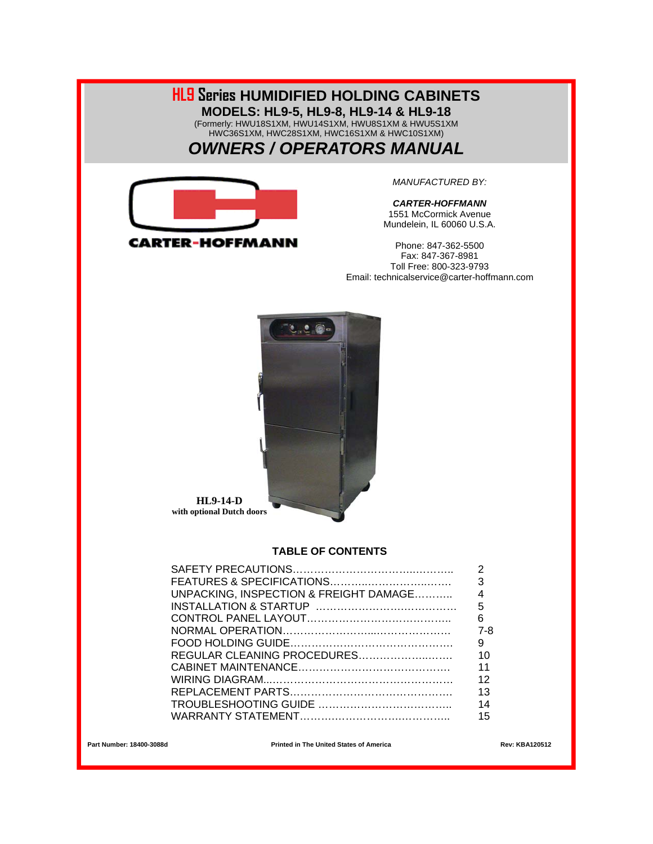#### **HL9 Series HUMIDIFIED HOLDING CABINETS MODELS: HL9-5, HL9-8, HL9-14 & HL9-18**  (Formerly: HWU18S1XM, HWU14S1XM, HWU8S1XM & HWU5S1XM HWC36S1XM, HWC28S1XM, HWC16S1XM & HWC10S1XM) *OWNERS / OPERATORS MANUAL*



*MANUFACTURED BY:* 

*CARTER-HOFFMANN*  1551 McCormick Avenue Mundelein, IL 60060 U.S.A.

Phone: 847-362-5500 Fax: 847-367-8981 Toll Free: 800-323-9793 Email: technicalservice@carter-hoffmann.com



**HL9-14-D with optional Dutch doors** 

#### **TABLE OF CONTENTS**

|                                        | 3   |
|----------------------------------------|-----|
| UNPACKING, INSPECTION & FREIGHT DAMAGE |     |
|                                        | 5   |
|                                        | 6   |
|                                        | 7-8 |
|                                        | - 9 |
|                                        | 10  |
|                                        | 11  |
|                                        | 12  |
|                                        | 13  |
|                                        | 14  |
|                                        | 15  |
|                                        |     |

Part Number: 18400-3088d **Printed in The United States of America** Rev: KBA120512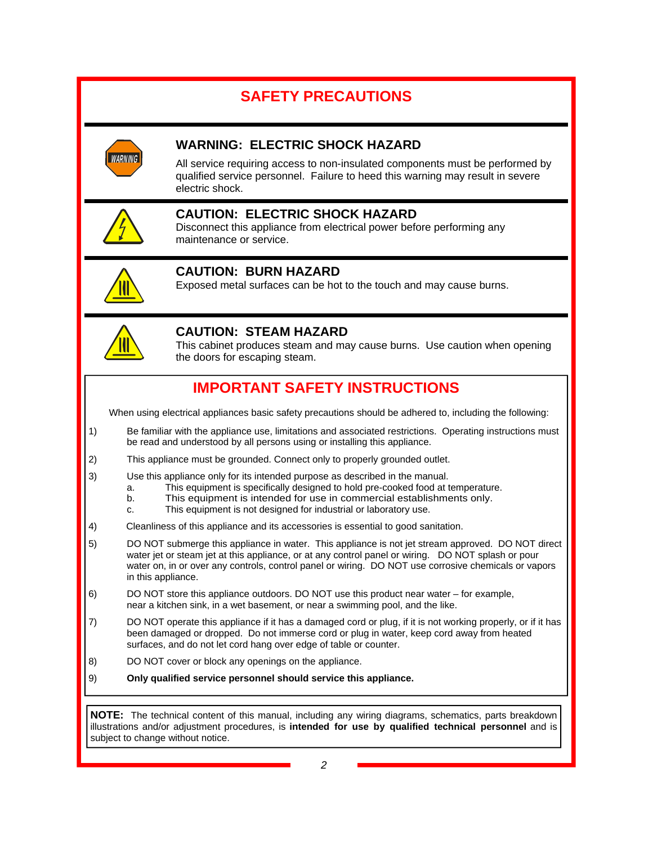## **SAFETY PRECAUTIONS**



## **WARNING: ELECTRIC SHOCK HAZARD**

All service requiring access to non-insulated components must be performed by qualified service personnel. Failure to heed this warning may result in severe electric shock.



## **CAUTION: ELECTRIC SHOCK HAZARD**

Disconnect this appliance from electrical power before performing any maintenance or service.



## **CAUTION: BURN HAZARD**

Exposed metal surfaces can be hot to the touch and may cause burns.



## **CAUTION: STEAM HAZARD**

This cabinet produces steam and may cause burns. Use caution when opening the doors for escaping steam.

## **IMPORTANT SAFETY INSTRUCTIONS**

When using electrical appliances basic safety precautions should be adhered to, including the following:

- 1) Be familiar with the appliance use, limitations and associated restrictions. Operating instructions must be read and understood by all persons using or installing this appliance.
- 2) This appliance must be grounded. Connect only to properly grounded outlet.
- 3) Use this appliance only for its intended purpose as described in the manual.
	- a. This equipment is specifically designed to hold pre-cooked food at temperature.
		- b. This equipment is intended for use in commercial establishments only.
	- c. This equipment is not designed for industrial or laboratory use.
- 4) Cleanliness of this appliance and its accessories is essential to good sanitation.
- 5) DO NOT submerge this appliance in water. This appliance is not jet stream approved. DO NOT direct water jet or steam jet at this appliance, or at any control panel or wiring. DO NOT splash or pour water on, in or over any controls, control panel or wiring. DO NOT use corrosive chemicals or vapors in this appliance.
- 6) DO NOT store this appliance outdoors. DO NOT use this product near water for example, near a kitchen sink, in a wet basement, or near a swimming pool, and the like.
- 7) DO NOT operate this appliance if it has a damaged cord or plug, if it is not working properly, or if it has been damaged or dropped. Do not immerse cord or plug in water, keep cord away from heated surfaces, and do not let cord hang over edge of table or counter.
- 8) DO NOT cover or block any openings on the appliance.
- 9) **Only qualified service personnel should service this appliance.**

**NOTE:** The technical content of this manual, including any wiring diagrams, schematics, parts breakdown illustrations and/or adjustment procedures, is **intended for use by qualified technical personnel** and is subject to change without notice.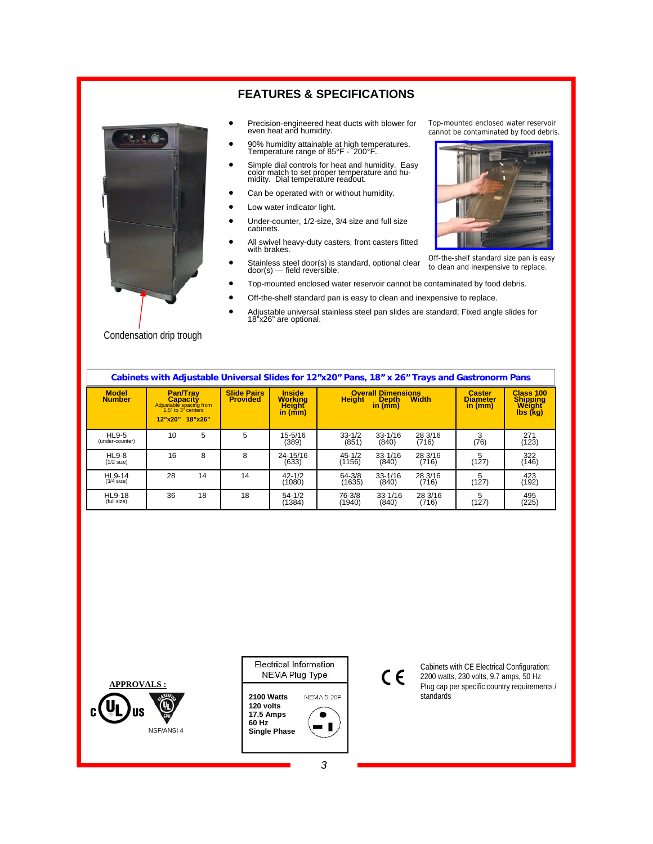

#### **FEATURES & SPECIFICATIONS**

- Precision-engineered heat ducts with blower for even heat and humidity.
- 90% humidity attainable at high temperatures. Temperature range of 85°F 200°F.
- Simple dial controls for heat and humidity. Easy color match to set proper temperature and hu-midity. Dial temperature readout.
- Can be operated with or without humidity.
- Low water indicator light.
- Under-counter, 1/2-size, 3/4 size and full size cabinets.
- All swivel heavy-duty casters, front casters fitted with brakes.
- Stainless steel door(s) is standard, optional clear door(s) field reversible.
- Top-mounted enclosed water reservoir cannot be contaminated by food debris.
- Off-the-shelf standard pan is easy to clean and inexpensive to replace.
- Adjustable universal stainless steel pan slides are standard; Fixed angle slides for 18"x26" are optional.

| Cabinets with Adjustable Universal Slides for 12"x20" Pans, 18" x 26" Trays and Gastronorm Pans |                                    |                                                                  |                                       |                                                                          |                      |                                                      |                  |                                               |                                             |
|-------------------------------------------------------------------------------------------------|------------------------------------|------------------------------------------------------------------|---------------------------------------|--------------------------------------------------------------------------|----------------------|------------------------------------------------------|------------------|-----------------------------------------------|---------------------------------------------|
| <b>Model</b><br><b>Number</b>                                                                   | <b>Capacity</b><br>12"x20" 18"x26" | <b>Pan/Trav</b><br>Adjustable spacing from<br>1.5" to 3" centers | <b>Slide Pairs</b><br><b>Provided</b> | <b>Inside</b><br><b>Working</b><br><b>Height</b><br>in $(\overline{mm})$ | <b>Height</b>        | <b>Overall Dimensions</b><br><b>Depth</b><br>in (mm) | <b>Width</b>     | <b>Caster</b><br><b>Diameter</b><br>in $(mm)$ | Class 100<br>Shipping<br>Weight<br>Ibs (kg) |
| <b>HL9-5</b><br>(under-counter)                                                                 | 10                                 | 5                                                                | 5                                     | 15-5/16<br>(389)                                                         | $33 - 1/2$<br>(851)  | $33 - 1/16$<br>(840)                                 | 28 3/16<br>(716) | 3<br>(76)                                     | 271<br>(123)                                |
| <b>HL9-8</b><br>$(1/2$ size)                                                                    | 16                                 | 8                                                                | 8                                     | 24-15/16<br>(633)                                                        | $45 - 1/2$<br>(1156) | $33 - 1/16$<br>(840)                                 | 28 3/16<br>(716) | 5<br>(127)                                    | 322<br>(146)                                |
| <b>HL9-14</b><br>$(3/4)$ size)                                                                  | 28                                 | 14                                                               | 14                                    | $42 - 1/2$<br>(1080)                                                     | $64 - 3/8$<br>(1635) | $33 - 1/16$<br>(840)                                 | 28 3/16<br>(716) | 5<br>(127)                                    | 423<br>(192)                                |
| <b>HL9-18</b><br>(full size)                                                                    | 36                                 | 18                                                               | 18                                    | $54 - 1/2$<br>(1384)                                                     | 76-3/8<br>(1940)     | $33 - 1/16$<br>(840)                                 | 28 3/16<br>(716) | 5<br>(127)                                    | 495<br>(225)                                |

Condensation drip trough





## $C \in$

Cabinets with CE Electrical Configuration: 2200 watts, 230 volts, 9.7 amps, 50 Hz Plug cap per specific country requirements / standards

Top-mounted enclosed water reservoir cannot be contaminated by food debris.



Off-the-shelf standard size pan is easy to clean and inexpensive to replace.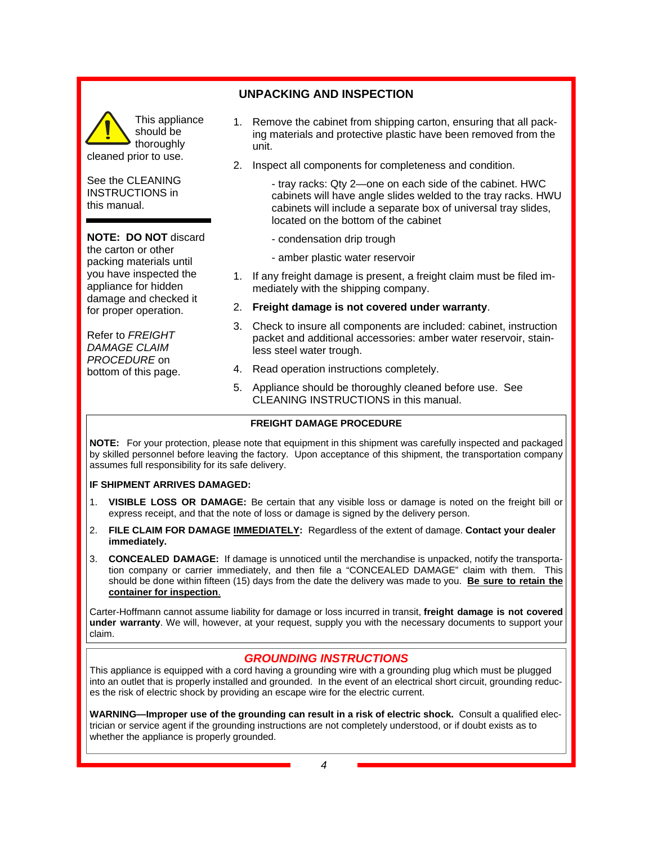## This appliance should be thoroughly

See the CLEANING INSTRUCTIONS in this manual.

cleaned prior to use.

#### **NOTE: DO NOT** discard

the carton or other packing materials until you have inspected the appliance for hidden damage and checked it for proper operation.

Refer to *FREIGHT DAMAGE CLAIM PROCEDURE* on bottom of this page.

## **UNPACKING AND INSPECTION**

- 1. Remove the cabinet from shipping carton, ensuring that all packing materials and protective plastic have been removed from the unit.
- 2. Inspect all components for completeness and condition.

 - tray racks: Qty 2—one on each side of the cabinet. HWC cabinets will have angle slides welded to the tray racks. HWU cabinets will include a separate box of universal tray slides, located on the bottom of the cabinet

- condensation drip trough
- amber plastic water reservoir
- 1. If any freight damage is present, a freight claim must be filed immediately with the shipping company.
- 2. **Freight damage is not covered under warranty**.
- 3. Check to insure all components are included: cabinet, instruction packet and additional accessories: amber water reservoir, stainless steel water trough.
- 4. Read operation instructions completely.
- 5. Appliance should be thoroughly cleaned before use. See CLEANING INSTRUCTIONS in this manual.

#### **FREIGHT DAMAGE PROCEDURE**

**NOTE:** For your protection, please note that equipment in this shipment was carefully inspected and packaged by skilled personnel before leaving the factory. Upon acceptance of this shipment, the transportation company assumes full responsibility for its safe delivery.

#### **IF SHIPMENT ARRIVES DAMAGED:**

- 1. **VISIBLE LOSS OR DAMAGE:** Be certain that any visible loss or damage is noted on the freight bill or express receipt, and that the note of loss or damage is signed by the delivery person.
- 2. **FILE CLAIM FOR DAMAGE IMMEDIATELY:** Regardless of the extent of damage. **Contact your dealer immediately.**
- 3. **CONCEALED DAMAGE:** If damage is unnoticed until the merchandise is unpacked, notify the transportation company or carrier immediately, and then file a "CONCEALED DAMAGE" claim with them. This should be done within fifteen (15) days from the date the delivery was made to you. **Be sure to retain the container for inspection**.

Carter-Hoffmann cannot assume liability for damage or loss incurred in transit, **freight damage is not covered under warranty**. We will, however, at your request, supply you with the necessary documents to support your claim.

#### *GROUNDING INSTRUCTIONS*

This appliance is equipped with a cord having a grounding wire with a grounding plug which must be plugged into an outlet that is properly installed and grounded. In the event of an electrical short circuit, grounding reduces the risk of electric shock by providing an escape wire for the electric current.

**WARNING—Improper use of the grounding can result in a risk of electric shock.** Consult a qualified electrician or service agent if the grounding instructions are not completely understood, or if doubt exists as to whether the appliance is properly grounded.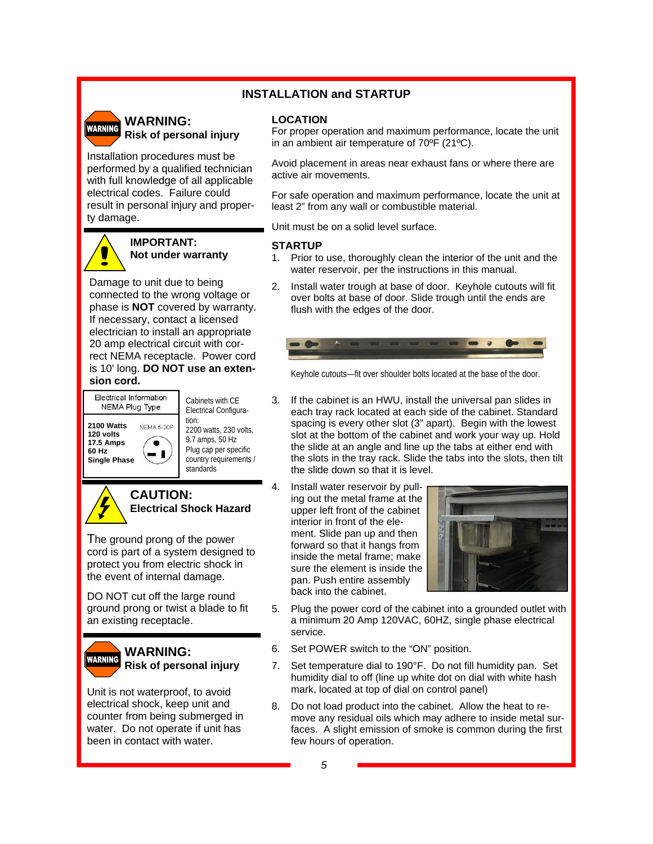#### **INSTALLATION and STARTUP**

# **WARNING**

#### **WARNING: Risk of personal injury**

Installation procedures must be performed by a qualified technician with full knowledge of all applicable electrical codes. Failure could result in personal injury and property damage.

## **IMPORTANT: Not under warranty**

Damage to unit due to being connected to the wrong voltage or phase is **NOT** covered by warranty. If necessary, contact a licensed electrician to install an appropriate 20 amp electrical circuit with correct NEMA receptacle. Power cord is 10' long. **DO NOT use an extension cord.** 



Cabinets with CE Electrical Configuration: 2200 watts, 230 volts, 9.7 amps, 50 Hz Plug cap per specific country requirements / standards



## **CAUTION: Electrical Shock Hazard**

The ground prong of the power cord is part of a system designed to protect you from electric shock in the event of internal damage.

DO NOT cut off the large round ground prong or twist a blade to fit an existing receptacle.



Unit is not waterproof, to avoid electrical shock, keep unit and counter from being submerged in water. Do not operate if unit has been in contact with water.

#### **LOCATION**

For proper operation and maximum performance, locate the unit in an ambient air temperature of 70ºF (21ºC).

Avoid placement in areas near exhaust fans or where there are active air movements.

For safe operation and maximum performance, locate the unit at least 2" from any wall or combustible material.

Unit must be on a solid level surface.

#### **STARTUP**

- 1. Prior to use, thoroughly clean the interior of the unit and the water reservoir, per the instructions in this manual.
- 2. Install water trough at base of door. Keyhole cutouts will fit over bolts at base of door. Slide trough until the ends are flush with the edges of the door.



Keyhole cutouts—fit over shoulder bolts located at the base of the door.

- 3. If the cabinet is an HWU, install the universal pan slides in each tray rack located at each side of the cabinet. Standard spacing is every other slot (3" apart). Begin with the lowest slot at the bottom of the cabinet and work your way up. Hold the slide at an angle and line up the tabs at either end with the slots in the tray rack. Slide the tabs into the slots, then tilt the slide down so that it is level.
- 4. Install water reservoir by pulling out the metal frame at the upper left front of the cabinet interior in front of the element. Slide pan up and then forward so that it hangs from inside the metal frame; make sure the element is inside the pan. Push entire assembly back into the cabinet.



- 5. Plug the power cord of the cabinet into a grounded outlet with a minimum 20 Amp 120VAC, 60HZ, single phase electrical service.
- 6. Set POWER switch to the "ON" position.
- 7. Set temperature dial to 190°F. Do not fill humidity pan. Set humidity dial to off (line up white dot on dial with white hash mark, located at top of dial on control panel)
- 8. Do not load product into the cabinet. Allow the heat to remove any residual oils which may adhere to inside metal surfaces. A slight emission of smoke is common during the first few hours of operation.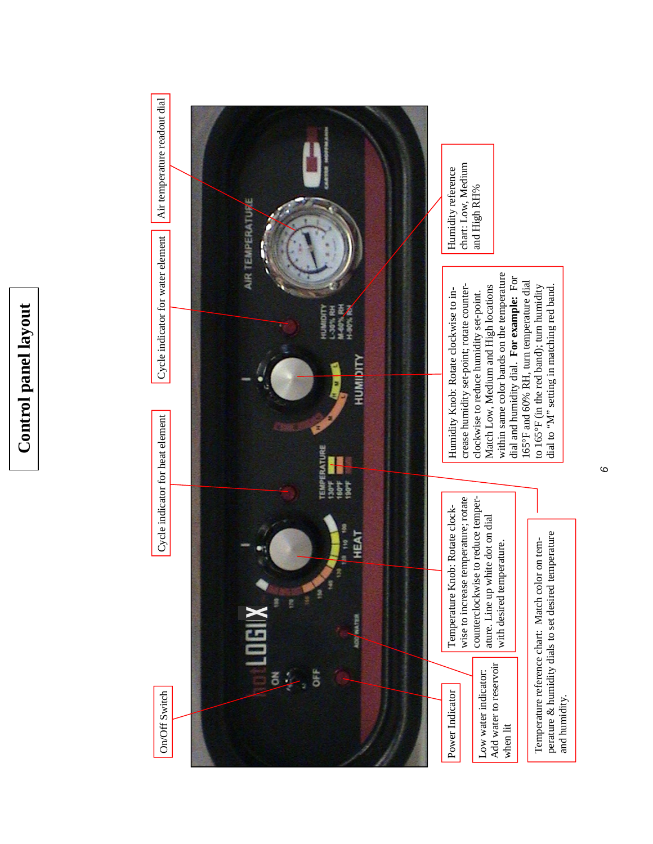

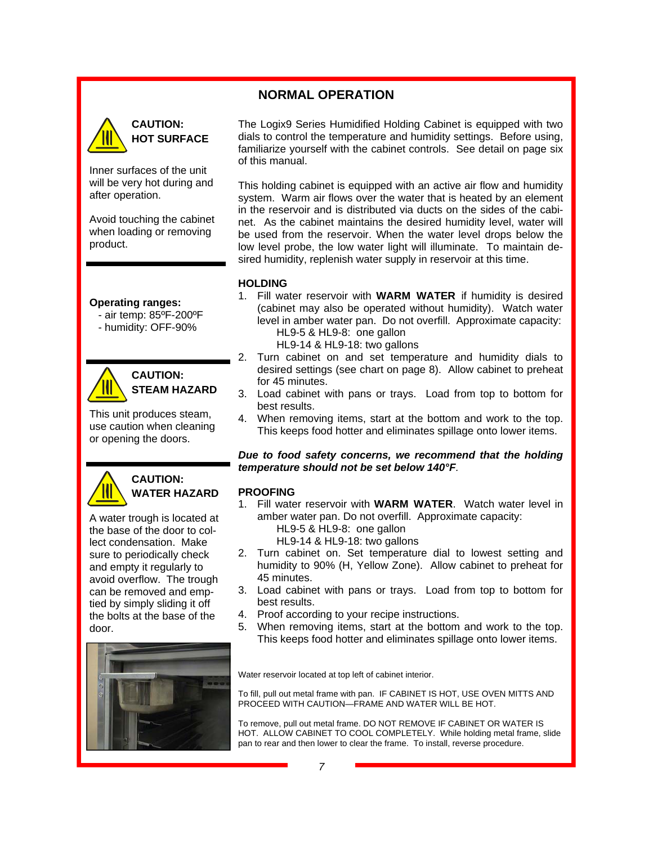#### **NORMAL OPERATION**



## **CAUTION: HOT SURFACE**

Inner surfaces of the unit will be very hot during and after operation.

Avoid touching the cabinet when loading or removing product.

#### **Operating ranges:**

- air temp: 85ºF-200ºF
- humidity: OFF-90%



## **CAUTION: STEAM HAZARD**

This unit produces steam, use caution when cleaning or opening the doors.



## **CAUTION: WATER HAZARD**

A water trough is located at the base of the door to collect condensation. Make sure to periodically check and empty it regularly to avoid overflow. The trough can be removed and emptied by simply sliding it off the bolts at the base of the door.



The Logix9 Series Humidified Holding Cabinet is equipped with two dials to control the temperature and humidity settings. Before using, familiarize yourself with the cabinet controls. See detail on page six of this manual.

This holding cabinet is equipped with an active air flow and humidity system. Warm air flows over the water that is heated by an element in the reservoir and is distributed via ducts on the sides of the cabinet. As the cabinet maintains the desired humidity level, water will be used from the reservoir. When the water level drops below the low level probe, the low water light will illuminate. To maintain desired humidity, replenish water supply in reservoir at this time.

#### **HOLDING**

- 1. Fill water reservoir with **WARM WATER** if humidity is desired (cabinet may also be operated without humidity). Watch water level in amber water pan. Do not overfill. Approximate capacity: HL9-5 & HL9-8: one gallon
	- HL9-14 & HL9-18: two gallons
- 2. Turn cabinet on and set temperature and humidity dials to desired settings (see chart on page 8). Allow cabinet to preheat for 45 minutes.
- 3. Load cabinet with pans or trays. Load from top to bottom for best results.
- 4. When removing items, start at the bottom and work to the top. This keeps food hotter and eliminates spillage onto lower items.

#### *Due to food safety concerns, we recommend that the holding temperature should not be set below 140°F.*

#### **PROOFING**

1. Fill water reservoir with **WARM WATER**. Watch water level in amber water pan. Do not overfill. Approximate capacity: HL9-5 & HL9-8: one gallon

HL9-14 & HL9-18: two gallons

- 2. Turn cabinet on. Set temperature dial to lowest setting and humidity to 90% (H, Yellow Zone). Allow cabinet to preheat for 45 minutes.
- 3. Load cabinet with pans or trays. Load from top to bottom for best results.
- 4. Proof according to your recipe instructions.
- 5. When removing items, start at the bottom and work to the top. This keeps food hotter and eliminates spillage onto lower items.

Water reservoir located at top left of cabinet interior.

To fill, pull out metal frame with pan. IF CABINET IS HOT, USE OVEN MITTS AND PROCEED WITH CAUTION—FRAME AND WATER WILL BE HOT.

To remove, pull out metal frame. DO NOT REMOVE IF CABINET OR WATER IS HOT. ALLOW CABINET TO COOL COMPLETELY. While holding metal frame, slide pan to rear and then lower to clear the frame. To install, reverse procedure.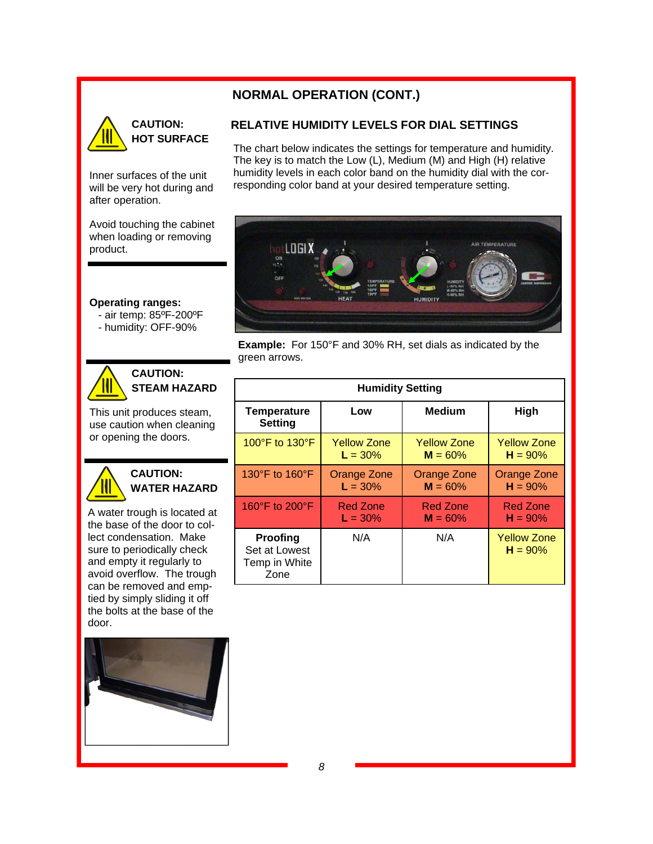## **NORMAL OPERATION (CONT.)**



## **CAUTION: HOT SURFACE**

Inner surfaces of the unit will be very hot during and after operation.

Avoid touching the cabinet when loading or removing product.

**Operating ranges:** 

- air temp: 85ºF-200ºF
- humidity: OFF-90%



## **CAUTION: STEAM HAZARD**

This unit produces steam, use caution when cleaning or opening the doors.



## **CAUTION: WATER HAZARD**

A water trough is located at the base of the door to collect condensation. Make sure to periodically check and empty it regularly to avoid overflow. The trough can be removed and emptied by simply sliding it off the bolts at the base of the door.



#### **RELATIVE HUMIDITY LEVELS FOR DIAL SETTINGS**

The chart below indicates the settings for temperature and humidity. The key is to match the Low (L), Medium (M) and High (H) relative humidity levels in each color band on the humidity dial with the corresponding color band at your desired temperature setting.



**Example:** For 150°F and 30% RH, set dials as indicated by the green arrows.

| <b>Humidity Setting</b>                            |                    |                    |                                 |  |
|----------------------------------------------------|--------------------|--------------------|---------------------------------|--|
| <b>Temperature</b><br><b>Setting</b>               | Low                | <b>Medium</b>      | High                            |  |
| 100°F to 130°F                                     | <b>Yellow Zone</b> | <b>Yellow Zone</b> | <b>Yellow Zone</b>              |  |
|                                                    | $L = 30\%$         | $M = 60\%$         | $H = 90%$                       |  |
| 130°F to 160°F                                     | Orange Zone        | Orange Zone        | Orange Zone                     |  |
|                                                    | $L = 30\%$         | $M = 60\%$         | $H = 90%$                       |  |
| 160°F to 200°F                                     | <b>Red Zone</b>    | <b>Red Zone</b>    | <b>Red Zone</b>                 |  |
|                                                    | $L = 30\%$         | $M = 60\%$         | $H = 90%$                       |  |
| Proofing<br>Set at Lowest<br>Temp in White<br>Zone | N/A                | N/A                | <b>Yellow Zone</b><br>$H = 90%$ |  |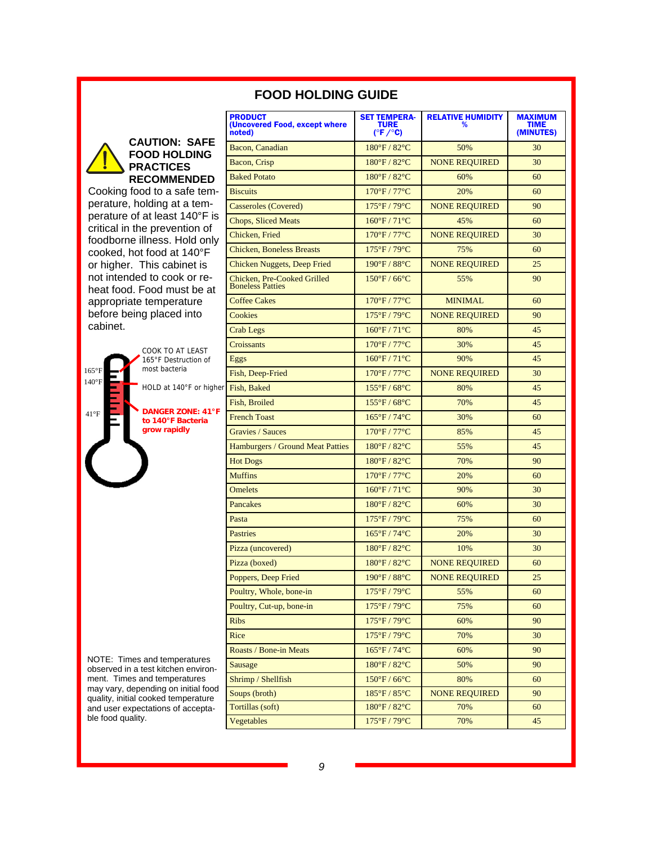|                                                                            | <b>PRODUCT</b><br>(Uncovered Food, except where<br>noted) | <b>SET TEMPERA-</b><br><b>TURE</b><br>$(^{\circ}F/^{\circ}C)$ | <b>RELATIVE HUMIDITY</b><br>% | <b>MAXIMUM</b><br><b>TIME</b><br>(MINUTES) |
|----------------------------------------------------------------------------|-----------------------------------------------------------|---------------------------------------------------------------|-------------------------------|--------------------------------------------|
| <b>CAUTION: SAFE</b><br><b>FOOD HOLDING</b>                                | Bacon, Canadian                                           | 180°F / 82°C                                                  | 50%                           | 30                                         |
| <b>PRACTICES</b>                                                           | Bacon, Crisp                                              | 180°F / 82°C                                                  | <b>NONE REQUIRED</b>          | 30                                         |
| <b>RECOMMENDED</b>                                                         | <b>Baked Potato</b>                                       | 180°F / 82°C                                                  | 60%                           | 60                                         |
| Cooking food to a safe tem-                                                | <b>Biscuits</b>                                           | 170°F / 77°C                                                  | 20%                           | 60                                         |
| perature, holding at a tem-                                                | Casseroles (Covered)                                      | 175°F / 79°C                                                  | <b>NONE REQUIRED</b>          | 90                                         |
| perature of at least 140°F is                                              | <b>Chops, Sliced Meats</b>                                | $160^{\circ}F / 71^{\circ}C$                                  | 45%                           | 60                                         |
| critical in the prevention of<br>foodborne illness. Hold only              | Chicken, Fried                                            | $170^{\circ}$ F / $77^{\circ}$ C                              | <b>NONE REQUIRED</b>          | 30                                         |
| cooked, hot food at 140°F                                                  | <b>Chicken, Boneless Breasts</b>                          | 175°F/79°C                                                    | 75%                           | 60                                         |
| or higher. This cabinet is                                                 | Chicken Nuggets, Deep Fried                               | 190°F / 88°C                                                  | <b>NONE REQUIRED</b>          | 25                                         |
| not intended to cook or re-<br>heat food. Food must be at                  | Chicken, Pre-Cooked Grilled<br><b>Boneless Patties</b>    | $150^{\circ}$ F / 66 $^{\circ}$ C                             | 55%                           | 90                                         |
| appropriate temperature                                                    | <b>Coffee Cakes</b>                                       | 170°F / 77°C                                                  | <b>MINIMAL</b>                | 60                                         |
| before being placed into                                                   | Cookies                                                   | 175°F / 79°C                                                  | <b>NONE REQUIRED</b>          | 90                                         |
| cabinet.                                                                   | Crab Legs                                                 | $160^{\circ}F / 71^{\circ}C$                                  | 80%                           | 45                                         |
| COOK TO AT LEAST                                                           | Croissants                                                | 170°F / 77°C                                                  | 30%                           | 45                                         |
| 165°F Destruction of                                                       | Eggs                                                      | $160^{\circ}F / 71^{\circ}C$                                  | 90%                           | 45                                         |
| most bacteria<br>$165^{\circ}$ F                                           | Fish, Deep-Fried                                          | 170°F / 77°C                                                  | <b>NONE REQUIRED</b>          | 30                                         |
| $140^{\circ}$ F<br>HOLD at 140°F or higher                                 | Fish, Baked                                               | $155^{\circ}$ F / 68 $^{\circ}$ C                             | 80%                           | 45                                         |
|                                                                            | Fish, Broiled                                             | 155°F/68°C                                                    | 70%                           | 45                                         |
| <b>DANGER ZONE: 41°F</b><br>$41^{\circ}F$<br>to 140°F Bacteria             | <b>French Toast</b>                                       | 165°F / 74°C                                                  | 30%                           | 60                                         |
| grow rapidly                                                               | <b>Gravies / Sauces</b>                                   | 170°F / 77°C                                                  | 85%                           | 45                                         |
|                                                                            | <b>Hamburgers / Ground Meat Patties</b>                   | $180^{\circ}$ F / $82^{\circ}$ C                              | 55%                           | 45                                         |
|                                                                            | <b>Hot Dogs</b>                                           | $180^{\circ}$ F / $82^{\circ}$ C                              | 70%                           | 90                                         |
|                                                                            | <b>Muffins</b>                                            | 170°F / 77°C                                                  | 20%                           | 60                                         |
|                                                                            | <b>Omelets</b>                                            | $160^{\circ}F / 71^{\circ}C$                                  | 90%                           | 30                                         |
|                                                                            | Pancakes                                                  | 180°F / 82°C                                                  | 60%                           | 30                                         |
|                                                                            | Pasta                                                     | 175°F / 79°C                                                  | 75%                           | 60                                         |
|                                                                            | <b>Pastries</b>                                           | $165^{\circ}F / 74^{\circ}C$                                  | 20%                           | 30                                         |
|                                                                            | Pizza (uncovered)                                         | 180°F / 82°C                                                  | 10%                           | 30                                         |
|                                                                            | Pizza (boxed)                                             | 180°F / 82°C                                                  | <b>NONE REQUIRED</b>          | 60                                         |
|                                                                            | Poppers, Deep Fried                                       | $190^{\circ}$ F / $88^{\circ}$ C                              | NONE REQUIRED                 | 25                                         |
|                                                                            | Poultry, Whole, bone-in                                   | 175°F / 79°C                                                  | 55%                           | 60                                         |
|                                                                            | Poultry, Cut-up, bone-in                                  | 175°F / 79°C                                                  | 75%                           | 60                                         |
|                                                                            | <b>Ribs</b>                                               | 175°F / 79°C                                                  | 60%                           | 90                                         |
|                                                                            | Rice                                                      | 175°F / 79°C                                                  | 70%                           | 30                                         |
|                                                                            | Roasts / Bone-in Meats                                    | 165°F / 74°C                                                  | 60%                           | 90                                         |
| NOTE: Times and temperatures<br>observed in a test kitchen environ-        | <b>Sausage</b>                                            | 180°F / 82°C                                                  | 50%                           | 90                                         |
| ment. Times and temperatures                                               | Shrimp / Shellfish                                        | 150°F / 66°C                                                  | 80%                           | 60                                         |
| may vary, depending on initial food<br>quality, initial cooked temperature | Soups (broth)                                             | 185°F / 85°C                                                  | <b>NONE REQUIRED</b>          | 90                                         |
| and user expectations of accepta-                                          | Tortillas (soft)                                          | 180°F / 82°C                                                  | 70%                           | 60                                         |
| ble food quality.                                                          | Vegetables                                                | 175°F / 79°C                                                  | 70%                           | 45                                         |

## **FOOD HOLDING GUIDE**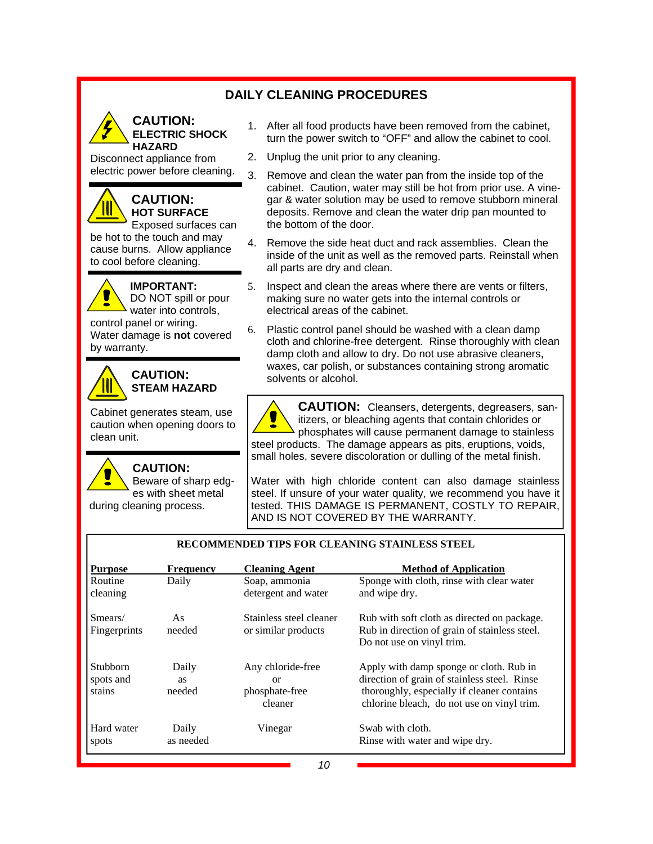## **DAILY CLEANING PROCEDURES**



#### **CAUTION: ELECTRIC SHOCK HAZARD**

Disconnect appliance from electric power before cleaning.

## **CAUTION: HOT SURFACE**

Exposed surfaces can be hot to the touch and may cause burns. Allow appliance to cool before cleaning.

**IMPORTANT:** 



control panel or wiring. Water damage is **not** covered by warranty.



#### **CAUTION: STEAM HAZARD**

Cabinet generates steam, use caution when opening doors to clean unit.

**CAUTION:**  Beware of sharp edges with sheet metal during cleaning process.

- 1. After all food products have been removed from the cabinet, turn the power switch to "OFF" and allow the cabinet to cool.
- 2. Unplug the unit prior to any cleaning.
- 3. Remove and clean the water pan from the inside top of the cabinet. Caution, water may still be hot from prior use. A vinegar & water solution may be used to remove stubborn mineral deposits. Remove and clean the water drip pan mounted to the bottom of the door.
- 4. Remove the side heat duct and rack assemblies. Clean the inside of the unit as well as the removed parts. Reinstall when all parts are dry and clean.
- 5. Inspect and clean the areas where there are vents or filters, making sure no water gets into the internal controls or electrical areas of the cabinet.
- 6. Plastic control panel should be washed with a clean damp cloth and chlorine-free detergent. Rinse thoroughly with clean damp cloth and allow to dry. Do not use abrasive cleaners, waxes, car polish, or substances containing strong aromatic solvents or alcohol.

**CAUTION:** Cleansers, detergents, degreasers, sanitizers, or bleaching agents that contain chlorides or phosphates will cause permanent damage to stainless steel products. The damage appears as pits, eruptions, voids, small holes, severe discoloration or dulling of the metal finish.

Water with high chloride content can also damage stainless steel. If unsure of your water quality, we recommend you have it tested. THIS DAMAGE IS PERMANENT, COSTLY TO REPAIR, AND IS NOT COVERED BY THE WARRANTY.

#### **RECOMMENDED TIPS FOR CLEANING STAINLESS STEEL**

| <b>Purpose</b>                         | <b>Frequency</b>             | <b>Cleaning Agent</b>                                | <b>Method of Application</b>                                                                                                                                                        |
|----------------------------------------|------------------------------|------------------------------------------------------|-------------------------------------------------------------------------------------------------------------------------------------------------------------------------------------|
| Routine<br>cleaning                    | Daily                        | Soap, ammonia<br>detergent and water                 | Sponge with cloth, rinse with clear water<br>and wipe dry.                                                                                                                          |
| Smears/<br>Fingerprints                | As<br>needed                 | Stainless steel cleaner<br>or similar products       | Rub with soft cloth as directed on package.<br>Rub in direction of grain of stainless steel.<br>Do not use on vinyl trim.                                                           |
| <b>Stubborn</b><br>spots and<br>stains | Daily<br><b>as</b><br>needed | Any chloride-free<br>or<br>phosphate-free<br>cleaner | Apply with damp sponge or cloth. Rub in<br>direction of grain of stainless steel. Rinse<br>thoroughly, especially if cleaner contains<br>chlorine bleach, do not use on vinyl trim. |
| Hard water<br>spots                    | Daily<br>as needed           | Vinegar                                              | Swab with cloth.<br>Rinse with water and wipe dry.                                                                                                                                  |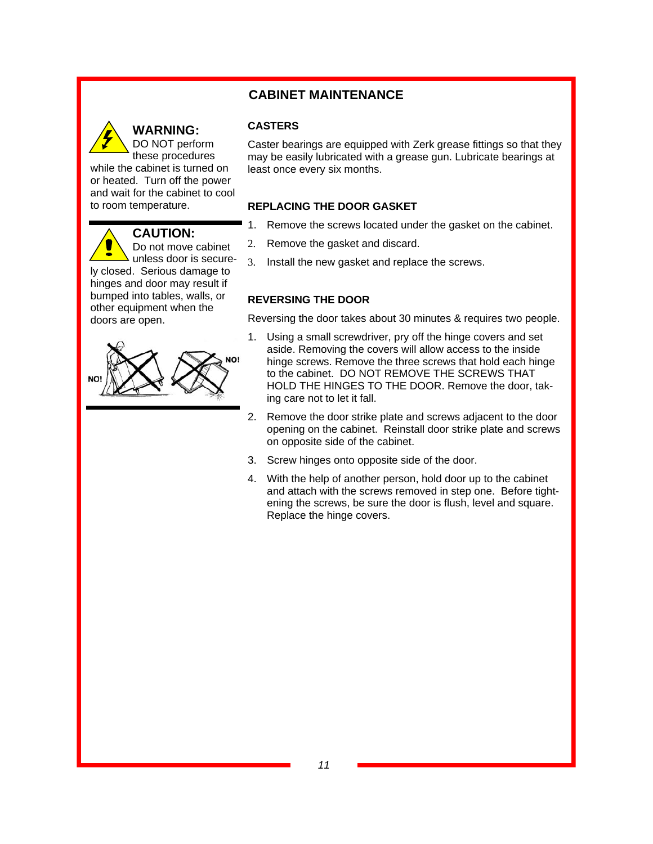## **CABINET MAINTENANCE**



## **WARNING:**

**CASTERS** 

Caster bearings are equipped with Zerk grease fittings so that they may be easily lubricated with a grease gun. Lubricate bearings at least once every six months.

#### **REPLACING THE DOOR GASKET**

- 1. Remove the screws located under the gasket on the cabinet.
- 2. Remove the gasket and discard.
- 3. Install the new gasket and replace the screws.

#### **REVERSING THE DOOR**

Reversing the door takes about 30 minutes & requires two people.

- 1. Using a small screwdriver, pry off the hinge covers and set aside. Removing the covers will allow access to the inside hinge screws. Remove the three screws that hold each hinge to the cabinet. DO NOT REMOVE THE SCREWS THAT HOLD THE HINGES TO THE DOOR. Remove the door, taking care not to let it fall.
- 2. Remove the door strike plate and screws adjacent to the door opening on the cabinet. Reinstall door strike plate and screws on opposite side of the cabinet.
- 3. Screw hinges onto opposite side of the door.
- 4. With the help of another person, hold door up to the cabinet and attach with the screws removed in step one. Before tightening the screws, be sure the door is flush, level and square. Replace the hinge covers.

unless door is securely closed. Serious damage to hinges and door may result if bumped into tables, walls, or other equipment when the doors are open.

**CAUTION:**

Do not move cabinet

while the cabinet is turned on or heated. Turn off the power and wait for the cabinet to cool

to room temperature.

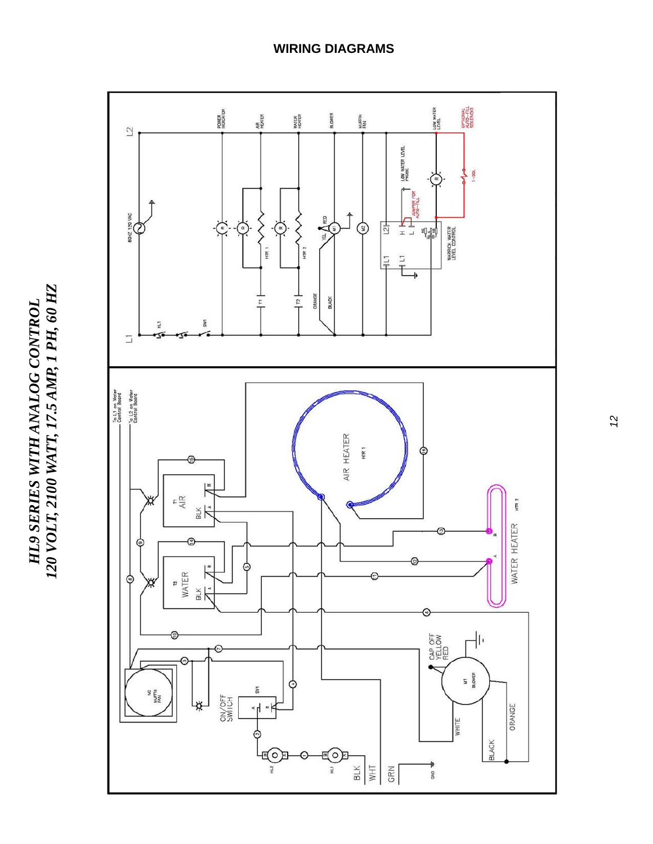



## **WIRING DIAGRAMS**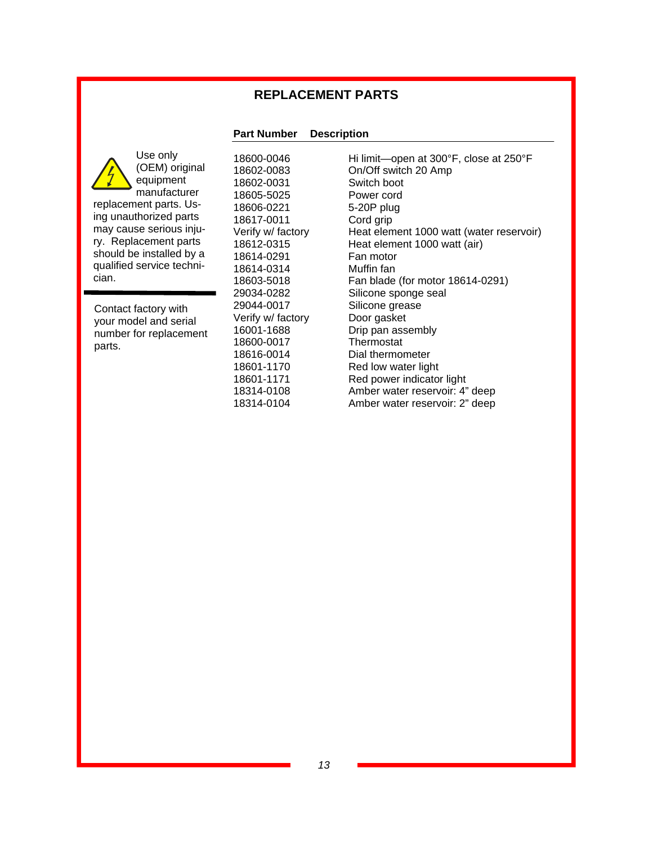## **REPLACEMENT PARTS**

#### **Part Number Description**

Use only (OEM) original equipment manufacturer replacement parts. Using unauthorized parts may cause serious injury. Replacement parts should be installed by a qualified service technician.

Contact factory with your model and serial number for replacement parts.

18602-0031 Switch boot 18605-5025 Power cord<br>18606-0221 5-20P plug 18606-0221 18617-0011 Cord grip 18614-0291 Fan motor 18614-0314 Muffin fan 29044-0017 Silicone grease Verify w/ factory Door gasket 18600-0017

18600-0046 Hi limit—open at 300°F, close at 250°F<br>18602-0083 On/Off switch 20 Amp On/Off switch 20 Amp Verify w/ factory Heat element 1000 watt (water reservoir) 18612-0315 Heat element 1000 watt (air) 18603-5018 Fan blade (for motor 18614-0291) 29034-0282 Silicone sponge seal 16001-1688 Drip pan assembly<br>18600-0017 Thermostat 18616-0014 Dial thermometer 18601-1170 Red low water light 18601-1171 Red power indicator light 18314-0108 Amber water reservoir: 4" deep 18314-0104 Amber water reservoir: 2" deep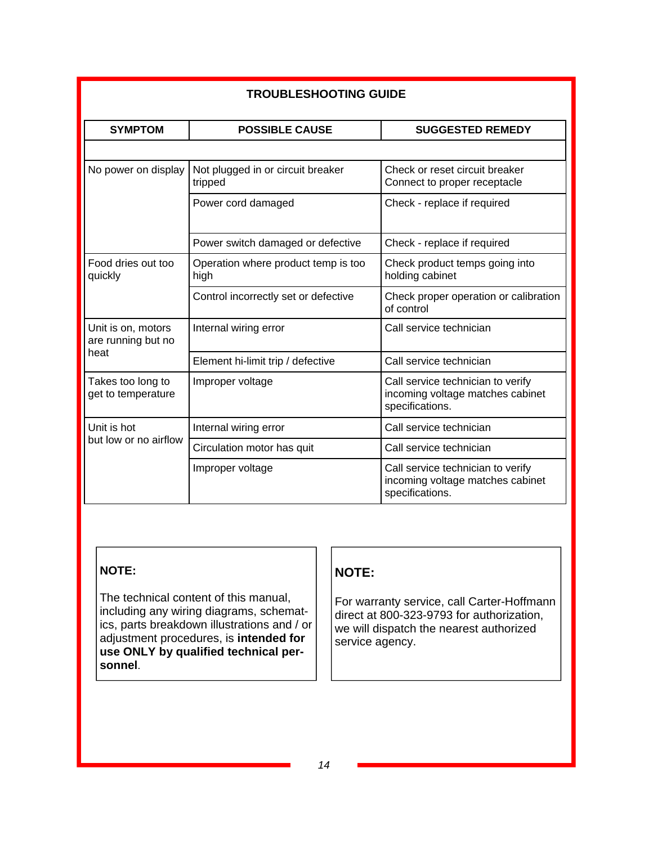| <b>TROUBLESHOOTING GUIDE</b>             |                                              |                                                                                          |  |  |  |
|------------------------------------------|----------------------------------------------|------------------------------------------------------------------------------------------|--|--|--|
| <b>SYMPTOM</b>                           | <b>POSSIBLE CAUSE</b>                        | <b>SUGGESTED REMEDY</b>                                                                  |  |  |  |
|                                          |                                              |                                                                                          |  |  |  |
| No power on display                      | Not plugged in or circuit breaker<br>tripped | Check or reset circuit breaker<br>Connect to proper receptacle                           |  |  |  |
|                                          | Power cord damaged                           | Check - replace if required                                                              |  |  |  |
|                                          | Power switch damaged or defective            | Check - replace if required                                                              |  |  |  |
| Food dries out too<br>quickly            | Operation where product temp is too<br>high  | Check product temps going into<br>holding cabinet                                        |  |  |  |
|                                          | Control incorrectly set or defective         | Check proper operation or calibration<br>of control                                      |  |  |  |
| Unit is on, motors<br>are running but no | Internal wiring error                        | Call service technician                                                                  |  |  |  |
| heat                                     | Element hi-limit trip / defective            | Call service technician                                                                  |  |  |  |
| Takes too long to<br>get to temperature  | Improper voltage                             | Call service technician to verify<br>incoming voltage matches cabinet<br>specifications. |  |  |  |
| Unit is hot                              | Internal wiring error                        | Call service technician                                                                  |  |  |  |
| but low or no airflow                    | Circulation motor has quit                   | Call service technician                                                                  |  |  |  |
|                                          | Improper voltage                             | Call service technician to verify<br>incoming voltage matches cabinet<br>specifications. |  |  |  |

## **NOTE:**

The technical content of this manual, including any wiring diagrams, schematics, parts breakdown illustrations and / or adjustment procedures, is **intended for use ONLY by qualified technical personnel**.

## **NOTE:**

For warranty service, call Carter-Hoffmann direct at 800-323-9793 for authorization, we will dispatch the nearest authorized service agency.